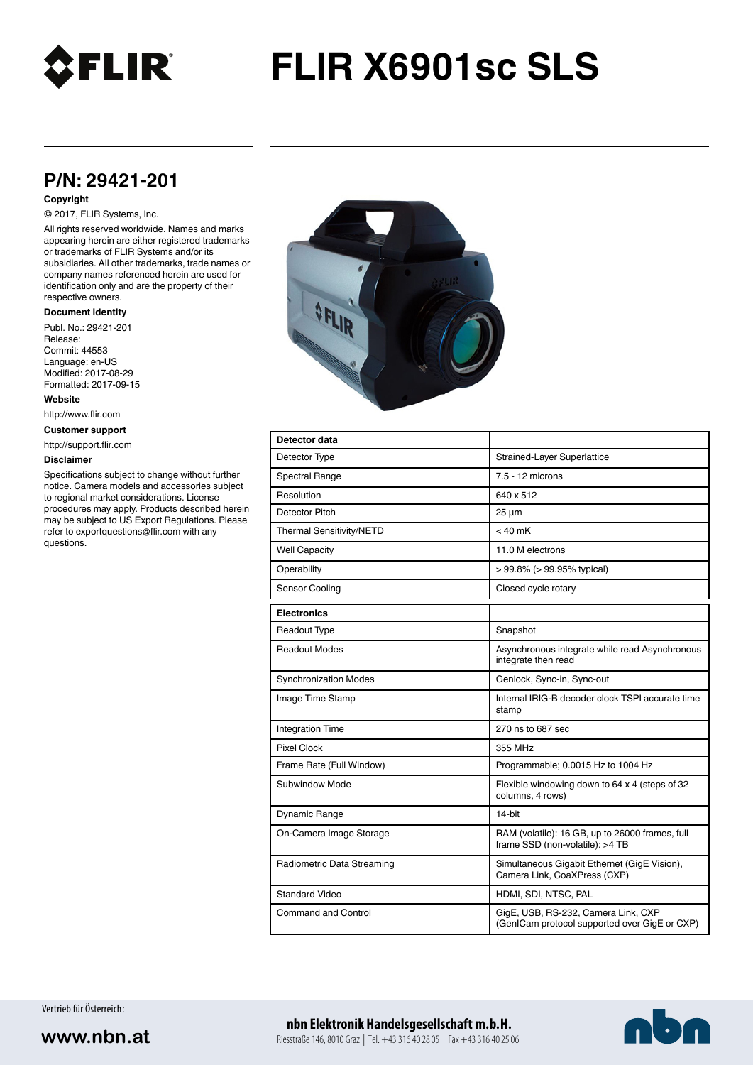

# **FLIR X6901sc SLS**

## **P/N: 29421-201**

#### **Copyright**

### © 2017, FLIR Systems, Inc.

All rights reserved worldwide. Names and marks appearing herein are either registered trademarks or trademarks of FLIR Systems and/or its subsidiaries. All other trademarks, trade names or company names referenced herein are used for identification only and are the property of their respective owners.

#### **Document identity**

Publ. No.: 29421-201 Release: Commit: 44553 Language: en-US Modified: 2017-08-29 Formatted: 2017-09-15

**Website**

http://www.flir.com

**Customer support**

http://support.flir.com

#### **Disclaimer**

Specifications subject to change without further notice. Camera models and accessories subject to regional market considerations. License procedures may apply. Products described herein may be subject to US Export Regulations. Please refer to exportquestions@flir.com with any questions.



| Detector data                |                                                                                      |
|------------------------------|--------------------------------------------------------------------------------------|
| Detector Type                | Strained-Layer Superlattice                                                          |
| <b>Spectral Range</b>        | 7.5 - 12 microns                                                                     |
| Resolution                   | 640 x 512                                                                            |
| Detector Pitch               | $25 \mu m$                                                                           |
| Thermal Sensitivity/NETD     | $< 40$ mK                                                                            |
| <b>Well Capacity</b>         | 11.0 M electrons                                                                     |
| Operability                  | $> 99.8\%$ ( $> 99.95\%$ typical)                                                    |
| Sensor Cooling               | Closed cycle rotary                                                                  |
| <b>Electronics</b>           |                                                                                      |
| <b>Readout Type</b>          | Snapshot                                                                             |
| <b>Readout Modes</b>         | Asynchronous integrate while read Asynchronous<br>integrate then read                |
| <b>Synchronization Modes</b> | Genlock, Sync-in, Sync-out                                                           |
| Image Time Stamp             | Internal IRIG-B decoder clock TSPI accurate time<br>stamp                            |
| <b>Integration Time</b>      | 270 ns to 687 sec                                                                    |
| <b>Pixel Clock</b>           | 355 MHz                                                                              |
| Frame Rate (Full Window)     | Programmable; 0.0015 Hz to 1004 Hz                                                   |
| Subwindow Mode               | Flexible windowing down to 64 x 4 (steps of 32<br>columns, 4 rows)                   |
| Dynamic Range                | 14-bit                                                                               |
| On-Camera Image Storage      | RAM (volatile): 16 GB, up to 26000 frames, full<br>frame SSD (non-volatile): >4 TB   |
| Radiometric Data Streaming   | Simultaneous Gigabit Ethernet (GigE Vision),<br>Camera Link, CoaXPress (CXP)         |
| <b>Standard Video</b>        | HDMI, SDI, NTSC, PAL                                                                 |
| <b>Command and Control</b>   | GigE, USB, RS-232, Camera Link, CXP<br>(GenICam protocol supported over GigE or CXP) |

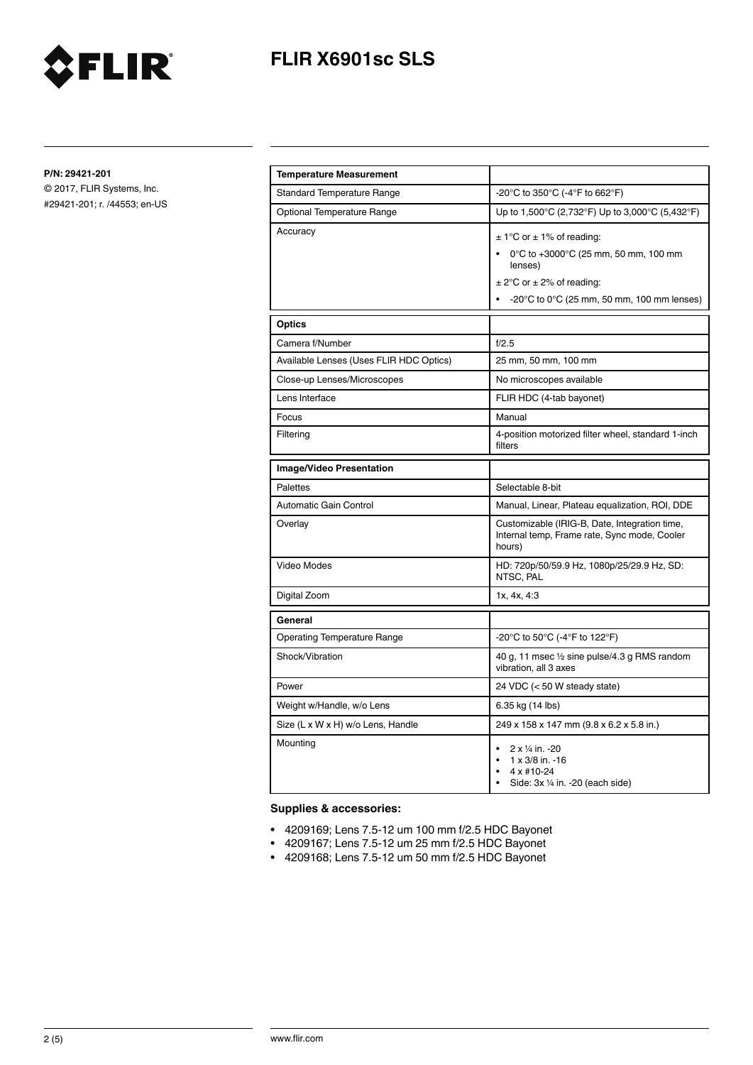

# **FLIR X6901sc SLS**

**P/N: 29421-201**

© 2017, FLIR Systems, Inc. #29421-201; r. /44553; en-US

| <b>Temperature Measurement</b>          |                                                                                                                                                                                              |
|-----------------------------------------|----------------------------------------------------------------------------------------------------------------------------------------------------------------------------------------------|
| <b>Standard Temperature Range</b>       | -20°C to 350°C (-4°F to 662°F)                                                                                                                                                               |
| <b>Optional Temperature Range</b>       | Up to 1,500°C (2,732°F) Up to 3,000°C (5,432°F)                                                                                                                                              |
| Accuracy                                | $\pm$ 1°C or $\pm$ 1% of reading:<br>0°C to +3000°C (25 mm, 50 mm, 100 mm<br>lenses)<br>$\pm$ 2°C or $\pm$ 2% of reading:<br>$-20^{\circ}$ C to 0 $^{\circ}$ C (25 mm, 50 mm, 100 mm lenses) |
| <b>Optics</b>                           |                                                                                                                                                                                              |
| Camera f/Number                         | f/2.5                                                                                                                                                                                        |
| Available Lenses (Uses FLIR HDC Optics) | 25 mm, 50 mm, 100 mm                                                                                                                                                                         |
| Close-up Lenses/Microscopes             | No microscopes available                                                                                                                                                                     |
| Lens Interface                          | FLIR HDC (4-tab bayonet)                                                                                                                                                                     |
| Focus                                   | Manual                                                                                                                                                                                       |
| Filtering                               | 4-position motorized filter wheel, standard 1-inch<br>filters                                                                                                                                |
| <b>Image/Video Presentation</b>         |                                                                                                                                                                                              |
| <b>Palettes</b>                         | Selectable 8-bit                                                                                                                                                                             |
| Automatic Gain Control                  | Manual, Linear, Plateau equalization, ROI, DDE                                                                                                                                               |
| Overlay                                 | Customizable (IRIG-B, Date, Integration time,<br>Internal temp, Frame rate, Sync mode, Cooler<br>hours)                                                                                      |
| Video Modes                             | HD: 720p/50/59.9 Hz, 1080p/25/29.9 Hz, SD:<br>NTSC, PAL                                                                                                                                      |
| Digital Zoom                            | 1x, 4x, 4:3                                                                                                                                                                                  |
| General                                 |                                                                                                                                                                                              |
| <b>Operating Temperature Range</b>      | -20°C to 50°C (-4°F to 122°F)                                                                                                                                                                |
| Shock/Vibration                         | 40 g, 11 msec 1/2 sine pulse/4.3 g RMS random<br>vibration, all 3 axes                                                                                                                       |
| Power                                   | 24 VDC (< 50 W steady state)                                                                                                                                                                 |
| Weight w/Handle, w/o Lens               | 6.35 kg (14 lbs)                                                                                                                                                                             |
| Size (L x W x H) w/o Lens, Handle       | 249 x 158 x 147 mm (9.8 x 6.2 x 5.8 in.)                                                                                                                                                     |
| Mounting                                | 2 x 1/4 in. -20<br>1 x 3/8 in. -16<br>4 x #10-24<br>Side: $3x \frac{1}{4}$ in. -20 (each side)                                                                                               |

## **Supplies & accessories:**

- 4209169; Lens 7.5-12 um 100 mm f/2.5 HDC Bayonet
- 4209167; Lens 7.5-12 um 25 mm f/2.5 HDC Bayonet
- 4209168; Lens 7.5-12 um 50 mm f/2.5 HDC Bayonet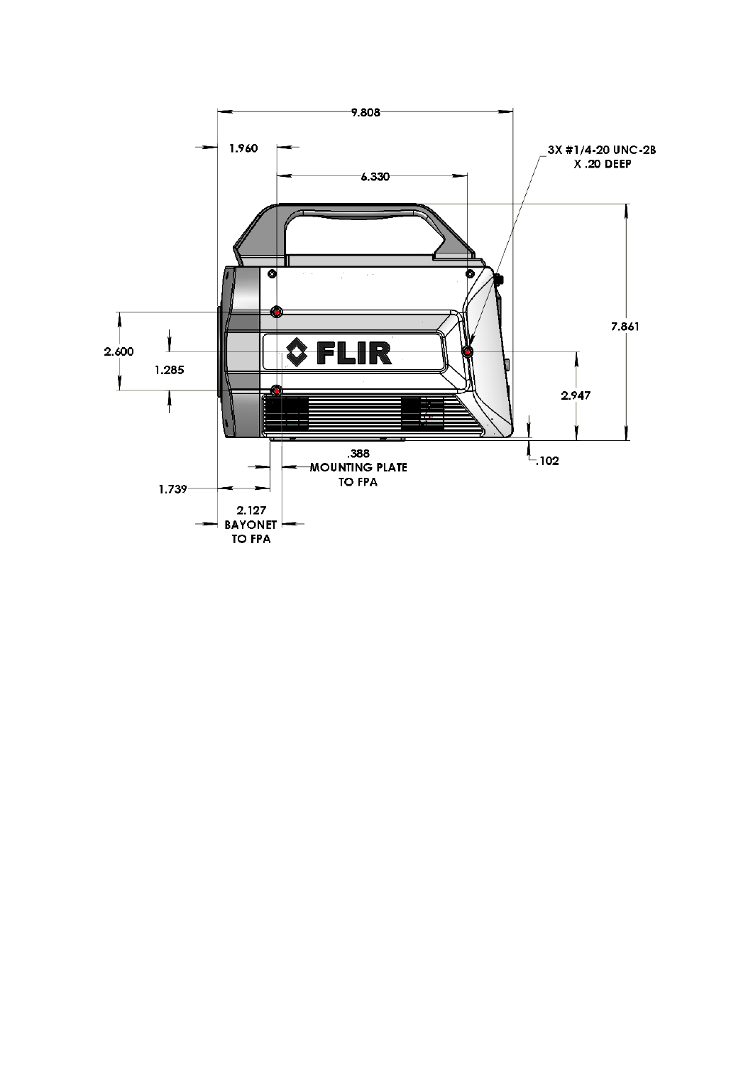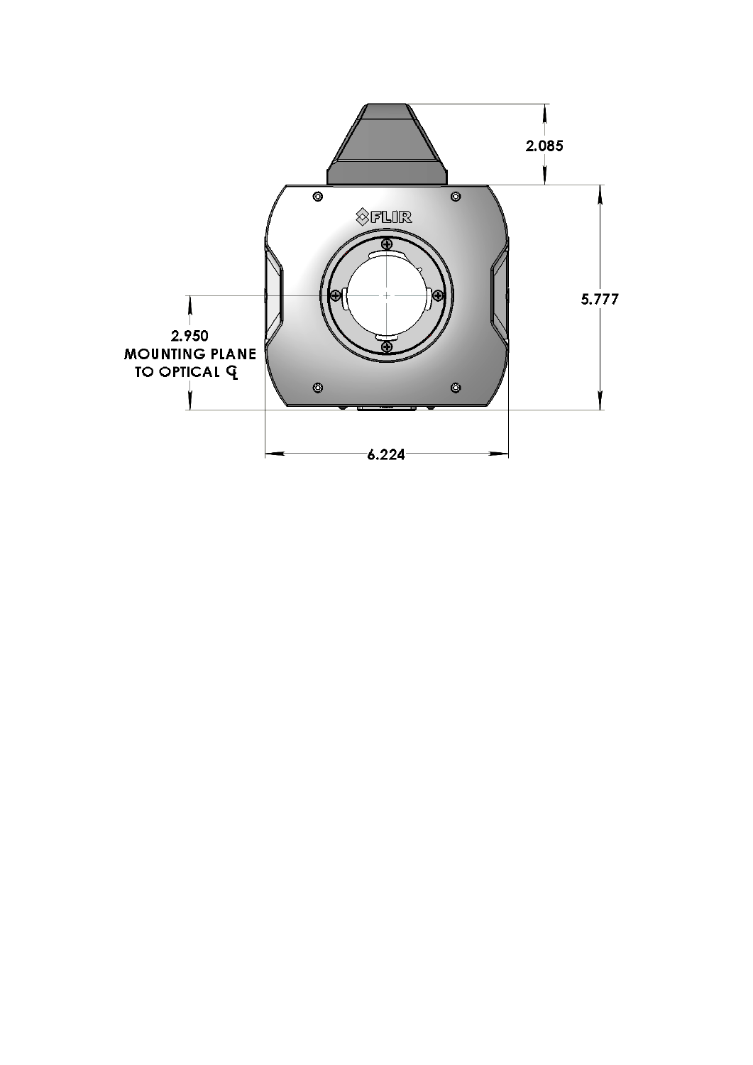